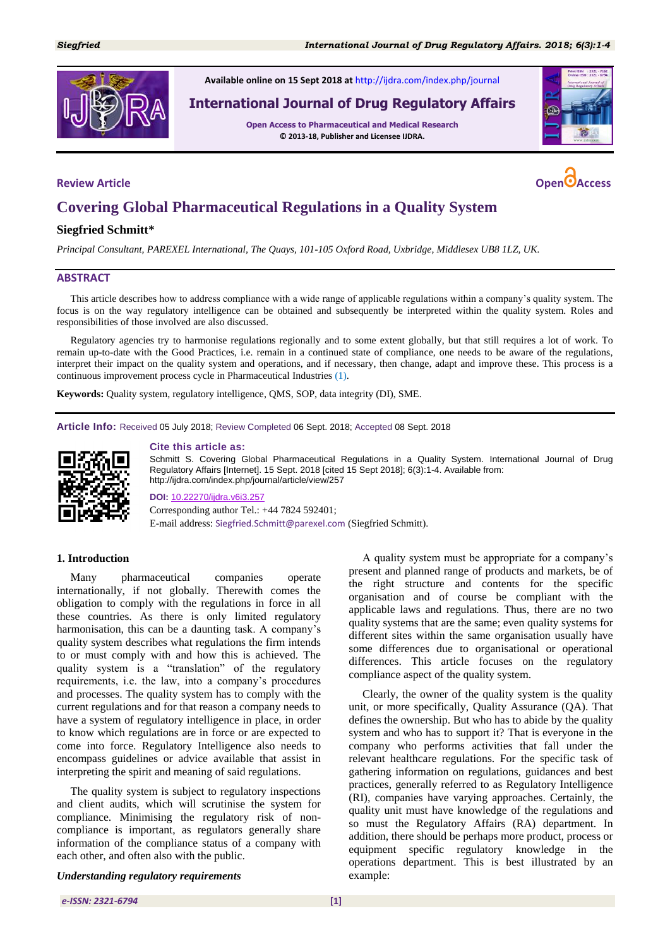

**Available online on 15 Sept 2018 at** <http://ijdra.com/index.php/journal>

# **International Journal of Drug Regulatory Affairs**

**Open Access to Pharmaceutical and Medical Research © 2013-18, Publisher and Licensee IJDRA.**





# **Covering Global Pharmaceutical Regulations in a Quality System**

## **Siegfried Schmitt\***

*Principal Consultant, PAREXEL International, The Quays, 101-105 Oxford Road, Uxbridge, Middlesex UB8 1LZ, UK.*

#### **ABSTRACT**

This article describes how to address compliance with a wide range of applicable regulations within a company's quality system. The focus is on the way regulatory intelligence can be obtained and subsequently be interpreted within the quality system. Roles and responsibilities of those involved are also discussed.

Regulatory agencies try to harmonise regulations regionally and to some extent globally, but that still requires a lot of work. To remain up-to-date with the Good Practices, i.e. remain in a continued state of compliance, one needs to be aware of the regulations, interpret their impact on the quality system and operations, and if necessary, then change, adapt and improve these. This process is a continuous improvement process cycle in Pharmaceutical Industries [\(1\)](#page-3-0).

**Keywords:** Quality system, regulatory intelligence, QMS, SOP, data integrity (DI), SME.

**Article Info:** Received 05 July 2018; Review Completed 06 Sept. 2018; Accepted 08 Sept. 2018



#### **Cite this article as:**

Schmitt S. Covering Global Pharmaceutical Regulations in a Quality System. International Journal of Drug Regulatory Affairs [Internet]. 15 Sept. 2018 [cited 15 Sept 2018]; 6(3):1-4. Available from: http://ijdra.com/index.php/journal/article/view/257

**DOI:** [10.22270/ijdra.v6i3.257](https://doi.org/10.22270/ijdra.v6i3.257) Corresponding author Tel.: +44 7824 592401; E-mail address: Siegfried.Schmitt@parexel.com (Siegfried Schmitt).

#### **1. Introduction**

Many pharmaceutical companies operate internationally, if not globally. Therewith comes the obligation to comply with the regulations in force in all these countries. As there is only limited regulatory harmonisation, this can be a daunting task. A company's quality system describes what regulations the firm intends to or must comply with and how this is achieved. The quality system is a "translation" of the regulatory requirements, i.e. the law, into a company's procedures and processes. The quality system has to comply with the current regulations and for that reason a company needs to have a system of regulatory intelligence in place, in order to know which regulations are in force or are expected to come into force. Regulatory Intelligence also needs to encompass guidelines or advice available that assist in interpreting the spirit and meaning of said regulations.

The quality system is subject to regulatory inspections and client audits, which will scrutinise the system for compliance. Minimising the regulatory risk of noncompliance is important, as regulators generally share information of the compliance status of a company with each other, and often also with the public.

*Understanding regulatory requirements*

A quality system must be appropriate for a company's present and planned range of products and markets, be of the right structure and contents for the specific organisation and of course be compliant with the applicable laws and regulations. Thus, there are no two quality systems that are the same; even quality systems for different sites within the same organisation usually have some differences due to organisational or operational differences. This article focuses on the regulatory compliance aspect of the quality system.

Clearly, the owner of the quality system is the quality unit, or more specifically, Quality Assurance (QA). That defines the ownership. But who has to abide by the quality system and who has to support it? That is everyone in the company who performs activities that fall under the relevant healthcare regulations. For the specific task of gathering information on regulations, guidances and best practices, generally referred to as Regulatory Intelligence (RI), companies have varying approaches. Certainly, the quality unit must have knowledge of the regulations and so must the Regulatory Affairs (RA) department. In addition, there should be perhaps more product, process or equipment specific regulatory knowledge in the operations department. This is best illustrated by an example: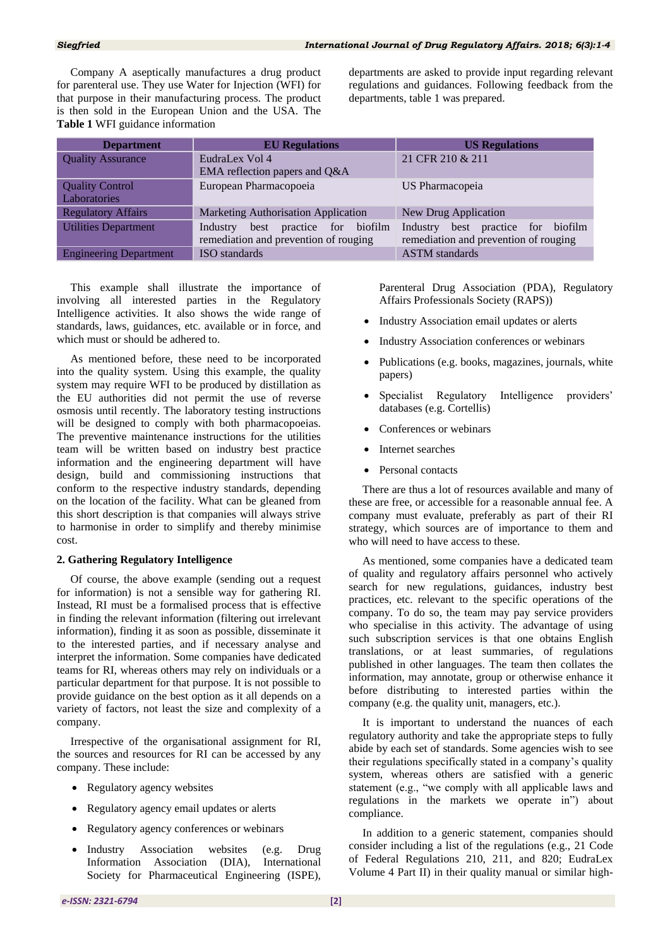Company A aseptically manufactures a drug product for parenteral use. They use Water for Injection (WFI) for that purpose in their manufacturing process. The product is then sold in the European Union and the USA. The **Table 1** WFI guidance information

departments are asked to provide input regarding relevant regulations and guidances. Following feedback from the departments, table 1 was prepared.

| <b>Department</b>             | <b>EU</b> Regulations                 | <b>US Regulations</b>                 |
|-------------------------------|---------------------------------------|---------------------------------------|
| <b>Quality Assurance</b>      | EudraLex Vol 4                        | 21 CFR 210 & 211                      |
|                               | EMA reflection papers and Q&A         |                                       |
| <b>Quality Control</b>        | European Pharmacopoeia                | US Pharmacopeia                       |
| <b>Laboratories</b>           |                                       |                                       |
| <b>Regulatory Affairs</b>     | Marketing Authorisation Application   | New Drug Application                  |
| <b>Utilities Department</b>   | best practice for biofilm<br>Industry | Industry best practice for biofilm    |
|                               | remediation and prevention of rouging | remediation and prevention of rouging |
| <b>Engineering Department</b> | <b>ISO</b> standards                  | <b>ASTM</b> standards                 |

This example shall illustrate the importance of involving all interested parties in the Regulatory Intelligence activities. It also shows the wide range of standards, laws, guidances, etc. available or in force, and which must or should be adhered to.

As mentioned before, these need to be incorporated into the quality system. Using this example, the quality system may require WFI to be produced by distillation as the EU authorities did not permit the use of reverse osmosis until recently. The laboratory testing instructions will be designed to comply with both pharmacopoeias. The preventive maintenance instructions for the utilities team will be written based on industry best practice information and the engineering department will have design, build and commissioning instructions that conform to the respective industry standards, depending on the location of the facility. What can be gleaned from this short description is that companies will always strive to harmonise in order to simplify and thereby minimise cost.

# **2. Gathering Regulatory Intelligence**

Of course, the above example (sending out a request for information) is not a sensible way for gathering RI. Instead, RI must be a formalised process that is effective in finding the relevant information (filtering out irrelevant information), finding it as soon as possible, disseminate it to the interested parties, and if necessary analyse and interpret the information. Some companies have dedicated teams for RI, whereas others may rely on individuals or a particular department for that purpose. It is not possible to provide guidance on the best option as it all depends on a variety of factors, not least the size and complexity of a company.

Irrespective of the organisational assignment for RI, the sources and resources for RI can be accessed by any company. These include:

- Regulatory agency websites
- Regulatory agency email updates or alerts
- Regulatory agency conferences or webinars
- Industry Association websites (e.g. Drug Information Association (DIA), International Society for Pharmaceutical Engineering (ISPE),

Parenteral Drug Association (PDA), Regulatory Affairs Professionals Society (RAPS))

- Industry Association email updates or alerts
- Industry Association conferences or webinars
- Publications (e.g. books, magazines, journals, white papers)
- Specialist Regulatory Intelligence providers' databases (e.g. Cortellis)
- Conferences or webinars
- Internet searches
- Personal contacts

There are thus a lot of resources available and many of these are free, or accessible for a reasonable annual fee. A company must evaluate, preferably as part of their RI strategy, which sources are of importance to them and who will need to have access to these.

As mentioned, some companies have a dedicated team of quality and regulatory affairs personnel who actively search for new regulations, guidances, industry best practices, etc. relevant to the specific operations of the company. To do so, the team may pay service providers who specialise in this activity. The advantage of using such subscription services is that one obtains English translations, or at least summaries, of regulations published in other languages. The team then collates the information, may annotate, group or otherwise enhance it before distributing to interested parties within the company (e.g. the quality unit, managers, etc.).

It is important to understand the nuances of each regulatory authority and take the appropriate steps to fully abide by each set of standards. Some agencies wish to see their regulations specifically stated in a company's quality system, whereas others are satisfied with a generic statement (e.g., "we comply with all applicable laws and regulations in the markets we operate in") about compliance.

In addition to a generic statement, companies should consider including a list of the regulations (e.g., 21 Code of Federal Regulations 210, 211, and 820; EudraLex Volume 4 Part II) in their quality manual or similar high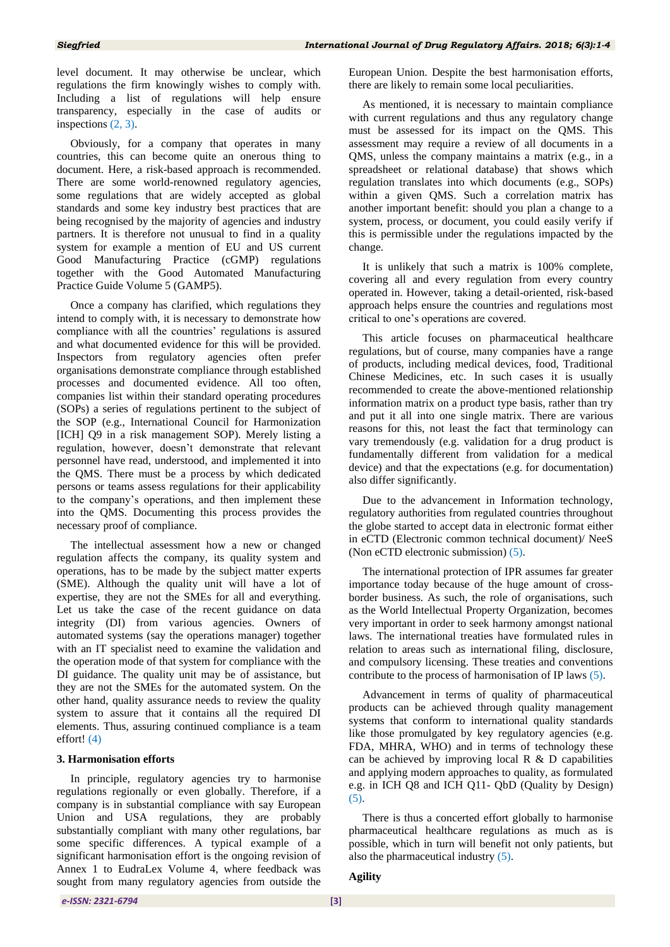level document. It may otherwise be unclear, which regulations the firm knowingly wishes to comply with. Including a list of regulations will help ensure transparency, especially in the case of audits or inspections  $(2, 3)$  $(2, 3)$ .

Obviously, for a company that operates in many countries, this can become quite an onerous thing to document. Here, a risk-based approach is recommended. There are some world-renowned regulatory agencies, some regulations that are widely accepted as global standards and some key industry best practices that are being recognised by the majority of agencies and industry partners. It is therefore not unusual to find in a quality system for example a mention of EU and US current Good Manufacturing Practice (cGMP) regulations together with the Good Automated Manufacturing Practice Guide Volume 5 (GAMP5).

Once a company has clarified, which regulations they intend to comply with, it is necessary to demonstrate how compliance with all the countries' regulations is assured and what documented evidence for this will be provided. Inspectors from regulatory agencies often prefer organisations demonstrate compliance through established processes and documented evidence. All too often, companies list within their standard operating procedures (SOPs) a series of regulations pertinent to the subject of the SOP (e.g., International Council for Harmonization [ICH] Q9 in a risk management SOP). Merely listing a regulation, however, doesn't demonstrate that relevant personnel have read, understood, and implemented it into the QMS. There must be a process by which dedicated persons or teams assess regulations for their applicability to the company's operations, and then implement these into the QMS. Documenting this process provides the necessary proof of compliance.

The intellectual assessment how a new or changed regulation affects the company, its quality system and operations, has to be made by the subject matter experts (SME). Although the quality unit will have a lot of expertise, they are not the SMEs for all and everything. Let us take the case of the recent guidance on data integrity (DI) from various agencies. Owners of automated systems (say the operations manager) together with an IT specialist need to examine the validation and the operation mode of that system for compliance with the DI guidance. The quality unit may be of assistance, but they are not the SMEs for the automated system. On the other hand, quality assurance needs to review the quality system to assure that it contains all the required DI elements. Thus, assuring continued compliance is a team effort! [\(4\)](#page-3-3)

#### **3. Harmonisation efforts**

In principle, regulatory agencies try to harmonise regulations regionally or even globally. Therefore, if a company is in substantial compliance with say European Union and USA regulations, they are probably substantially compliant with many other regulations, bar some specific differences. A typical example of a significant harmonisation effort is the ongoing revision of Annex 1 to EudraLex Volume 4, where feedback was sought from many regulatory agencies from outside the

European Union. Despite the best harmonisation efforts, there are likely to remain some local peculiarities.

As mentioned, it is necessary to maintain compliance with current regulations and thus any regulatory change must be assessed for its impact on the QMS. This assessment may require a review of all documents in a QMS, unless the company maintains a matrix (e.g., in a spreadsheet or relational database) that shows which regulation translates into which documents (e.g., SOPs) within a given QMS. Such a correlation matrix has another important benefit: should you plan a change to a system, process, or document, you could easily verify if this is permissible under the regulations impacted by the change.

It is unlikely that such a matrix is 100% complete, covering all and every regulation from every country operated in. However, taking a detail-oriented, risk-based approach helps ensure the countries and regulations most critical to one's operations are covered.

This article focuses on pharmaceutical healthcare regulations, but of course, many companies have a range of products, including medical devices, food, Traditional Chinese Medicines, etc. In such cases it is usually recommended to create the above-mentioned relationship information matrix on a product type basis, rather than try and put it all into one single matrix. There are various reasons for this, not least the fact that terminology can vary tremendously (e.g. validation for a drug product is fundamentally different from validation for a medical device) and that the expectations (e.g. for documentation) also differ significantly.

Due to the advancement in Information technology, regulatory authorities from regulated countries throughout the globe started to accept data in electronic format either in eCTD (Electronic common technical document)/ NeeS (Non eCTD electronic submission) [\(5\)](#page-3-4).

The international protection of IPR assumes far greater importance today because of the huge amount of crossborder business. As such, the role of organisations, such as the World Intellectual Property Organization, becomes very important in order to seek harmony amongst national laws. The international treaties have formulated rules in relation to areas such as international filing, disclosure, and compulsory licensing. These treaties and conventions contribute to the process of harmonisation of IP laws [\(5\)](#page-3-4).

Advancement in terms of quality of pharmaceutical products can be achieved through quality management systems that conform to international quality standards like those promulgated by key regulatory agencies (e.g. FDA, MHRA, WHO) and in terms of technology these can be achieved by improving local  $R \& D$  capabilities and applying modern approaches to quality, as formulated e.g. in ICH Q8 and ICH Q11- QbD (Quality by Design)  $(5)$ .

There is thus a concerted effort globally to harmonise pharmaceutical healthcare regulations as much as is possible, which in turn will benefit not only patients, but also the pharmaceutical industry [\(5\)](#page-3-4).

#### **Agility**